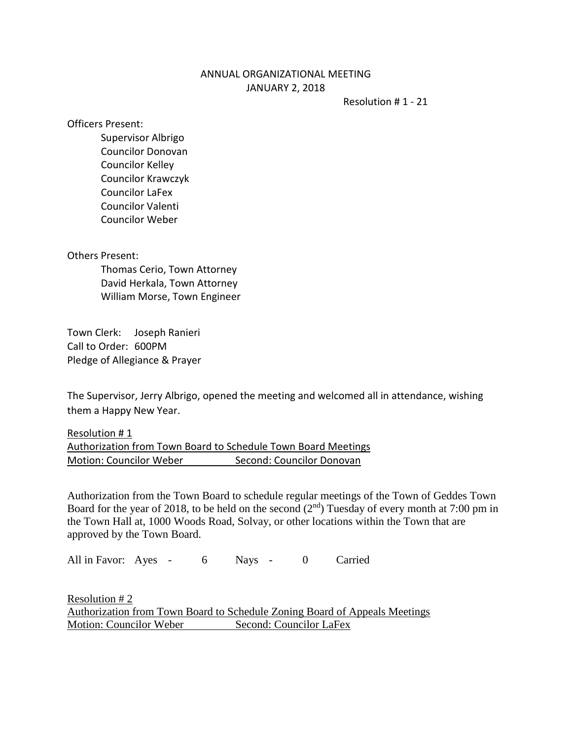## ANNUAL ORGANIZATIONAL MEETING JANUARY 2, 2018

Resolution # 1 - 21

Officers Present:

Supervisor Albrigo Councilor Donovan Councilor Kelley Councilor Krawczyk Councilor LaFex Councilor Valenti Councilor Weber

Others Present:

Thomas Cerio, Town Attorney David Herkala, Town Attorney William Morse, Town Engineer

Town Clerk: Joseph Ranieri Call to Order: 600PM Pledge of Allegiance & Prayer

The Supervisor, Jerry Albrigo, opened the meeting and welcomed all in attendance, wishing them a Happy New Year.

Resolution # 1 Authorization from Town Board to Schedule Town Board Meetings Motion: Councilor Weber Second: Councilor Donovan

Authorization from the Town Board to schedule regular meetings of the Town of Geddes Town Board for the year of 2018, to be held on the second  $(2<sup>nd</sup>)$  Tuesday of every month at 7:00 pm in the Town Hall at, 1000 Woods Road, Solvay, or other locations within the Town that are approved by the Town Board.

All in Favor: Ayes - 6 Nays - 0 Carried

Resolution # 2 Authorization from Town Board to Schedule Zoning Board of Appeals Meetings Motion: Councilor Weber Second: Councilor LaFex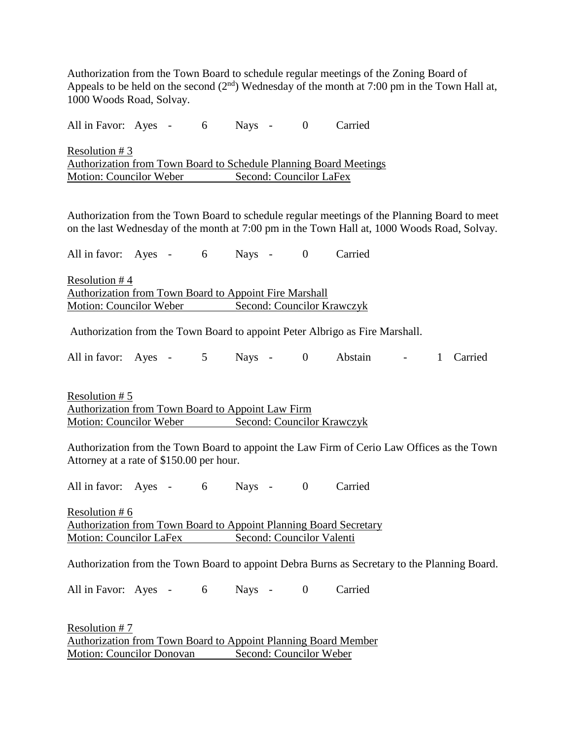Authorization from the Town Board to schedule regular meetings of the Zoning Board of Appeals to be held on the second  $(2<sup>nd</sup>)$  Wednesday of the month at 7:00 pm in the Town Hall at, 1000 Woods Road, Solvay.

All in Favor: Ayes - 6 Nays - 0 Carried Resolution # 3 Authorization from Town Board to Schedule Planning Board Meetings Motion: Councilor Weber Second: Councilor LaFex

Authorization from the Town Board to schedule regular meetings of the Planning Board to meet on the last Wednesday of the month at 7:00 pm in the Town Hall at, 1000 Woods Road, Solvay.

All in favor: Ayes - 6 Nays - 0 Carried Resolution # 4 Authorization from Town Board to Appoint Fire Marshall

Motion: Councilor Weber Second: Councilor Krawczyk

Authorization from the Town Board to appoint Peter Albrigo as Fire Marshall.

All in favor: Ayes - 5 Nays - 0 Abstain - 1 Carried

Resolution # 5 Authorization from Town Board to Appoint Law Firm Motion: Councilor Weber Second: Councilor Krawczyk

Authorization from the Town Board to appoint the Law Firm of Cerio Law Offices as the Town Attorney at a rate of \$150.00 per hour.

All in favor: Ayes - 6 Nays - 0 Carried

Resolution # 6 Authorization from Town Board to Appoint Planning Board Secretary Motion: Councilor LaFex Second: Councilor Valenti

Authorization from the Town Board to appoint Debra Burns as Secretary to the Planning Board.

All in Favor: Ayes - 6 Nays - 0 Carried

Resolution # 7 Authorization from Town Board to Appoint Planning Board Member Motion: Councilor Donovan Second: Councilor Weber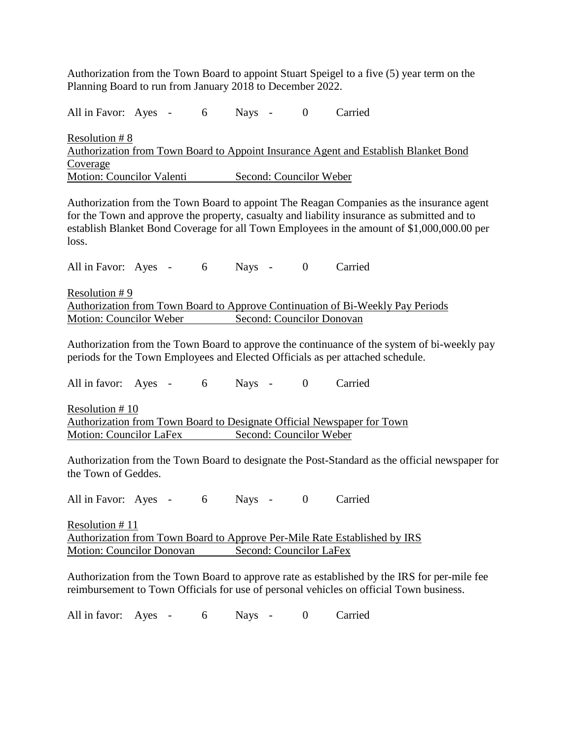Authorization from the Town Board to appoint Stuart Speigel to a five (5) year term on the Planning Board to run from January 2018 to December 2022.

All in Favor: Ayes - 6 Nays - 0 Carried Resolution # 8 Authorization from Town Board to Appoint Insurance Agent and Establish Blanket Bond Coverage Motion: Councilor Valenti Second: Councilor Weber

Authorization from the Town Board to appoint The Reagan Companies as the insurance agent for the Town and approve the property, casualty and liability insurance as submitted and to establish Blanket Bond Coverage for all Town Employees in the amount of \$1,000,000.00 per loss.

All in Favor: Ayes - 6 Nays - 0 Carried

Resolution # 9 Authorization from Town Board to Approve Continuation of Bi-Weekly Pay Periods Motion: Councilor Weber Second: Councilor Donovan

Authorization from the Town Board to approve the continuance of the system of bi-weekly pay periods for the Town Employees and Elected Officials as per attached schedule.

All in favor: Ayes - 6 Nays - 0 Carried

Resolution # 10 Authorization from Town Board to Designate Official Newspaper for Town Motion: Councilor LaFex Second: Councilor Weber

Authorization from the Town Board to designate the Post-Standard as the official newspaper for the Town of Geddes.

All in Favor: Ayes - 6 Nays - 0 Carried

Resolution # 11 Authorization from Town Board to Approve Per-Mile Rate Established by IRS Motion: Councilor Donovan Second: Councilor LaFex

Authorization from the Town Board to approve rate as established by the IRS for per-mile fee reimbursement to Town Officials for use of personal vehicles on official Town business.

All in favor: Ayes - 6 Nays - 0 Carried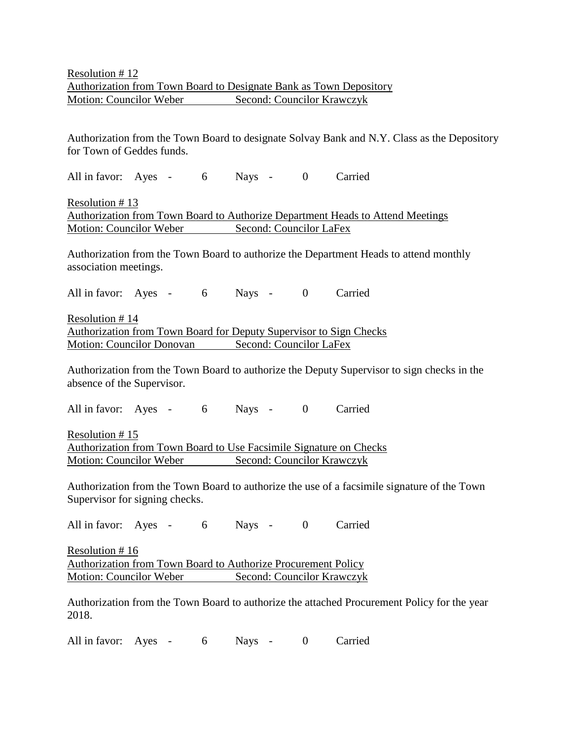Authorization from the Town Board to designate Solvay Bank and N.Y. Class as the Depository for Town of Geddes funds.

All in favor: Ayes - 6 Nays - 0 Carried

Resolution # 13 Authorization from Town Board to Authorize Department Heads to Attend Meetings Motion: Councilor Weber Second: Councilor LaFex

Authorization from the Town Board to authorize the Department Heads to attend monthly association meetings.

All in favor: Ayes - 6 Nays - 0 Carried

Resolution # 14 Authorization from Town Board for Deputy Supervisor to Sign Checks Motion: Councilor Donovan Second: Councilor LaFex

Authorization from the Town Board to authorize the Deputy Supervisor to sign checks in the absence of the Supervisor.

All in favor: Ayes - 6 Nays - 0 Carried

Resolution # 15 Authorization from Town Board to Use Facsimile Signature on Checks Motion: Councilor Weber Second: Councilor Krawczyk

Authorization from the Town Board to authorize the use of a facsimile signature of the Town Supervisor for signing checks.

All in favor: Ayes - 6 Nays - 0 Carried

Resolution # 16 Authorization from Town Board to Authorize Procurement Policy Motion: Councilor Weber Second: Councilor Krawczyk

Authorization from the Town Board to authorize the attached Procurement Policy for the year 2018.

All in favor: Ayes - 6 Nays - 0 Carried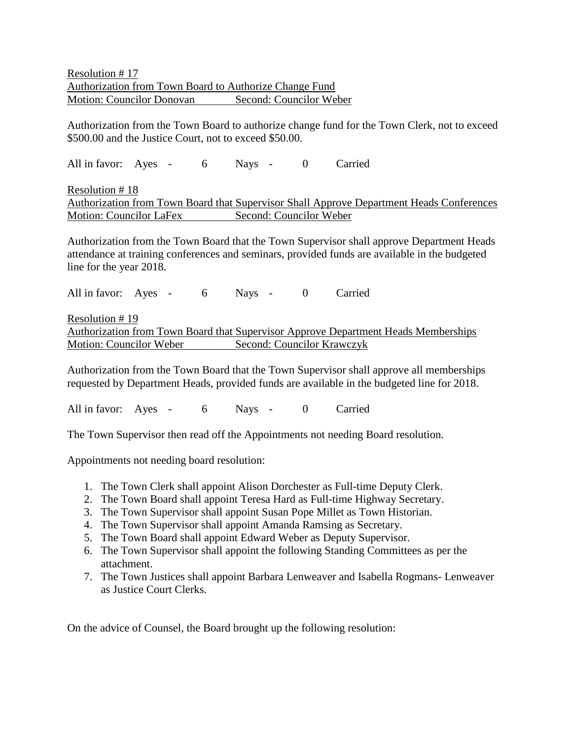Resolution # 17 Authorization from Town Board to Authorize Change Fund Motion: Councilor Donovan Second: Councilor Weber

Authorization from the Town Board to authorize change fund for the Town Clerk, not to exceed \$500.00 and the Justice Court, not to exceed \$50.00.

All in favor: Ayes - 6 Nays - 0 Carried

Resolution # 18 Authorization from Town Board that Supervisor Shall Approve Department Heads Conferences Motion: Councilor LaFex Second: Councilor Weber

Authorization from the Town Board that the Town Supervisor shall approve Department Heads attendance at training conferences and seminars, provided funds are available in the budgeted line for the year 2018.

All in favor: Ayes - 6 Nays - 0 Carried

Resolution # 19 Authorization from Town Board that Supervisor Approve Department Heads Memberships Motion: Councilor Weber Second: Councilor Krawczyk

Authorization from the Town Board that the Town Supervisor shall approve all memberships requested by Department Heads, provided funds are available in the budgeted line for 2018.

All in favor: Ayes - 6 Nays - 0 Carried

The Town Supervisor then read off the Appointments not needing Board resolution.

Appointments not needing board resolution:

- 1. The Town Clerk shall appoint Alison Dorchester as Full-time Deputy Clerk.
- 2. The Town Board shall appoint Teresa Hard as Full-time Highway Secretary.
- 3. The Town Supervisor shall appoint Susan Pope Millet as Town Historian.
- 4. The Town Supervisor shall appoint Amanda Ramsing as Secretary.
- 5. The Town Board shall appoint Edward Weber as Deputy Supervisor.
- 6. The Town Supervisor shall appoint the following Standing Committees as per the attachment.
- 7. The Town Justices shall appoint Barbara Lenweaver and Isabella Rogmans- Lenweaver as Justice Court Clerks.

On the advice of Counsel, the Board brought up the following resolution: